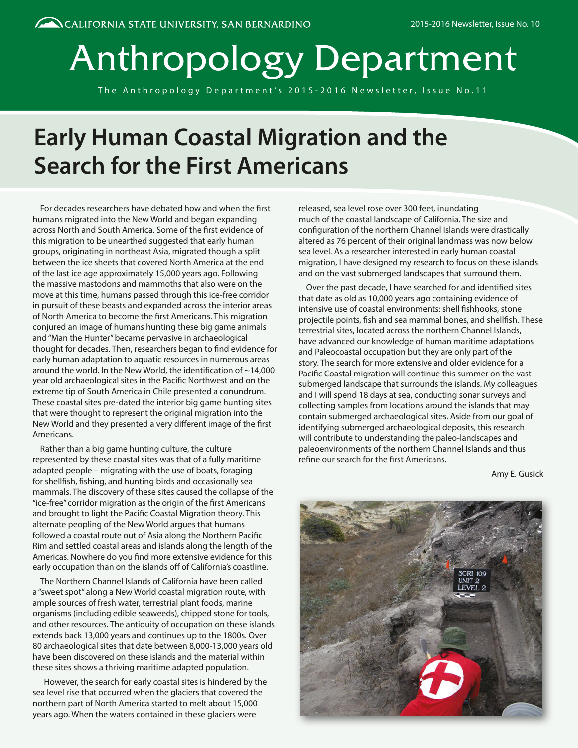# Anthropology Department

The Anthropology Department's 2015-2016 Newsletter, Issue No.11

## **Early Human Coastal Migration and the Search for the First Americans**

For decades researchers have debated how and when the first humans migrated into the New World and began expanding across North and South America. Some of the first evidence of this migration to be unearthed suggested that early human groups, originating in northeast Asia, migrated though a split between the ice sheets that covered North America at the end of the last ice age approximately 15,000 years ago. Following the massive mastodons and mammoths that also were on the move at this time, humans passed through this ice-free corridor in pursuit of these beasts and expanded across the interior areas of North America to become the first Americans. This migration conjured an image of humans hunting these big game animals and "Man the Hunter" became pervasive in archaeological thought for decades. Then, researchers began to find evidence for early human adaptation to aquatic resources in numerous areas around the world. In the New World, the identification of ~14,000 year old archaeological sites in the Pacific Northwest and on the extreme tip of South America in Chile presented a conundrum. These coastal sites pre-dated the interior big game hunting sites that were thought to represent the original migration into the New World and they presented a very different image of the first Americans.

Rather than a big game hunting culture, the culture represented by these coastal sites was that of a fully maritime adapted people – migrating with the use of boats, foraging for shellfish, fishing, and hunting birds and occasionally sea mammals. The discovery of these sites caused the collapse of the "ice-free" corridor migration as the origin of the first Americans and brought to light the Pacific Coastal Migration theory. This alternate peopling of the New World argues that humans followed a coastal route out of Asia along the Northern Pacific Rim and settled coastal areas and islands along the length of the Americas. Nowhere do you find more extensive evidence for this early occupation than on the islands off of California's coastline.

The Northern Channel Islands of California have been called a "sweet spot" along a New World coastal migration route, with ample sources of fresh water, terrestrial plant foods, marine organisms (including edible seaweeds), chipped stone for tools, and other resources. The antiquity of occupation on these islands extends back 13,000 years and continues up to the 1800s. Over 80 archaeological sites that date between 8,000-13,000 years old have been discovered on these islands and the material within these sites shows a thriving maritime adapted population.

 However, the search for early coastal sites is hindered by the sea level rise that occurred when the glaciers that covered the northern part of North America started to melt about 15,000 years ago. When the waters contained in these glaciers were

released, sea level rose over 300 feet, inundating much of the coastal landscape of California. The size and configuration of the northern Channel Islands were drastically altered as 76 percent of their original landmass was now below sea level. As a researcher interested in early human coastal migration, I have designed my research to focus on these islands and on the vast submerged landscapes that surround them.

Over the past decade, I have searched for and identified sites that date as old as 10,000 years ago containing evidence of intensive use of coastal environments: shell fishhooks, stone projectile points, fish and sea mammal bones, and shellfish. These terrestrial sites, located across the northern Channel Islands, have advanced our knowledge of human maritime adaptations and Paleocoastal occupation but they are only part of the story. The search for more extensive and older evidence for a Pacific Coastal migration will continue this summer on the vast submerged landscape that surrounds the islands. My colleagues and I will spend 18 days at sea, conducting sonar surveys and collecting samples from locations around the islands that may contain submerged archaeological sites. Aside from our goal of identifying submerged archaeological deposits, this research will contribute to understanding the paleo-landscapes and paleoenvironments of the northern Channel Islands and thus refine our search for the first Americans.

Amy E. Gusick

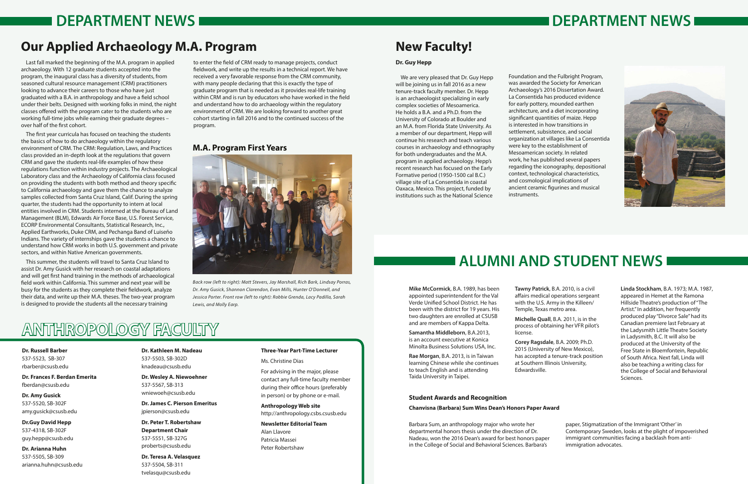## **Dr. Russell Barber**

537-5523, SB-307 rbarber@csusb.edu

**Dr. Frances F. Berdan Emerita** fberdan@csusb.edu

**Dr. Amy Gusick** 537-5520, SB-302F amy.gusick@csusb.edu

**Dr.Guy David Hepp** 537-4318, SB-302F guy.hepp@csusb.edu

**Dr. Arianna Huhn** 537-5505, SB-309 arianna.huhn@csusb.edu

## **Dr. Kathleen M. Nadeau** 537-5503, SB-302D knadeau@csusb.edu

**Dr. Wesley A. Niewoehner** 537-5567, SB-313 wniewoeh@csusb.edu

**Dr. James C. Pierson Emeritus** jpierson@csusb.edu

**Dr. Peter T. Robertshaw Department Chair** 537-5551, SB-327G proberts@csusb.edu

**Dr. Teresa A. Velasquez** 537-5504, SB-311 tvelasqu@csusb.edu

### **Three-Year Part-Time Lecturer**

Ms. Christine Dias

For advising in the major, please contact any full-time faculty member during their office hours (preferably in person) or by phone or e-mail.

**Anthropology Web site** http://anthropology.csbs.csusb.edu

**Newsletter Editorial Team** Alan Llavore Patricia Massei Peter Robertshaw

## **ANTHROPOLOGY FACULTY**

**Mike McCormick**, B.A. 1989, has been appointed superintendent for the Val Verde Unified School District. He has been with the district for 19 years. His two daughters are enrolled at CSUSB and are members of Kappa Delta.

**Samantha Middleborn**, B.A.2013, is an account executive at Konica Minolta Business Solutions USA, Inc.

**Rae Morgan**, B.A. 2013, is in Taiwan learning Chinese while she continues to teach English and is attending Taida University in Taipei.

**Tawny Patrick**, B.A. 2010, is a civil affairs medical operations sergeant with the U.S. Army in the Killeen/ Temple, Texas metro area.

**Michelle Quall**, B.A. 2011, is in the process of obtaining her VFR pilot's

license.

**Corey Ragsdale**, B.A. 2009; Ph.D. 2015 (University of New Mexico), has accepted a tenure-track position at Southern Illinois University, Edwardsville.



**Linda Stockham**, B.A. 1973; M.A. 1987, appeared in Hemet at the Ramona Hillside Theatre's production of "The Artist." In addition, her frequently produced play "Divorce Sale" had its Canadian premiere last February at the Ladysmith Little Theatre Society in Ladysmith, B.C. It will also be produced at the University of the Free State in Bloemfontein, Republic of South Africa. Next fall, Linda will also be teaching a writing class for the College of Social and Behavioral Sciences.

## **Student Awards and Recognition**

**Chanvisna (Barbara) Sum Wins Dean's Honors Paper Award**

Barbara Sum, an anthropology major who wrote her departmental honors thesis under the direction of Dr. Nadeau, won the 2016 Dean's award for best honors paper in the College of Social and Behavioral Sciences. Barbara's

paper, Stigmatization of the Immigrant 'Other' in Contemporary Sweden, looks at the plight of impoverished immigrant communities facing a backlash from antiimmigration advocates.

## **Our Applied Archaeology M.A. Program**

Last fall marked the beginning of the M.A. program in applied archaeology. With 12 graduate students accepted into the program, the inaugural class has a diversity of students, from seasoned cultural resource management (CRM) practitioners looking to advance their careers to those who have just graduated with a B.A. in anthropology and have a field school under their belts. Designed with working folks in mind, the night classes offered with the program cater to the students who are working full-time jobs while earning their graduate degrees – over half of the first cohort.

The first year curricula has focused on teaching the students the basics of how to do archaeology within the regulatory environment of CRM. The CRM: Regulation, Laws, and Practices class provided an in-depth look at the regulations that govern CRM and gave the students real-life examples of how these regulations function within industry projects. The Archaeological Laboratory class and the Archaeology of California class focused on providing the students with both method and theory specific to California archaeology and gave them the chance to analyze samples collected from Santa Cruz Island, Calif. During the spring quarter, the students had the opportunity to intern at local entities involved in CRM. Students interned at the Bureau of Land Management (BLM), Edwards Air Force Base, U.S. Forest Service, ECORP Environmental Consultants, Statistical Research, Inc., Applied Earthworks, Duke CRM, and Pechanga Band of Luiseño Indians. The variety of internships gave the students a chance to understand how CRM works in both U.S. government and private sectors, and within Native American governments.

This summer, the students will travel to Santa Cruz Island to assist Dr. Amy Gusick with her research on coastal adaptations and will get first hand training in the methods of archaeological field work within California. This summer and next year will be busy for the students as they complete their fieldwork, analyze their data, and write up their M.A. theses. The two-year program is designed to provide the students all the necessary training

to enter the field of CRM ready to manage projects, conduct fieldwork, and write up the results in a technical report. We have received a very favorable response from the CRM community, with many people declaring that this is exactly the type of graduate program that is needed as it provides real-life training within CRM and is run by educators who have worked in the field and understand how to do archaeology within the regulatory environment of CRM. We are looking forward to another great cohort starting in fall 2016 and to the continued success of the program.

## **DEPARTMENT NEWS DEPARTMENT NEWS**

*Back row (left to right): Matt Stevers, Jay Marshall, Rich Bark, Lindsay Porras, Dr. Amy Gusick, Shannon Clarendon, Evan Mills, Hunter O'Donnell, and Jessica Porter. Front row (left to right): Robbie Grenda, Lacy Padilla, Sarah Lewis, and Molly Earp.*

## **M.A. Program First Years**



## **Dr. Guy Hepp**

We are very pleased that Dr. Guy Hepp will be joining us in fall 2016 as a new tenure-track faculty member. Dr. Hepp is an archaeologist specializing in early complex societies of Mesoamerica. He holds a B.A. and a Ph.D. from the University of Colorado at Boulder and an M.A. from Florida State University. As a member of our department, Hepp will continue his research and teach various courses in archaeology and ethnography for both undergraduates and the M.A. program in applied archaeology. Hepp's recent research has focused on the Early Formative period (1950-1500 cal B.C.) village site of La Consentida in coastal Oaxaca, Mexico. This project, funded by institutions such as the National Science

Foundation and the Fulbright Program, was awarded the Society for American Archaeology's 2016 Dissertation Award. La Consentida has produced evidence for early pottery, mounded earthen architecture, and a diet incorporating significant quantities of maize. Hepp is interested in how transitions in settlement, subsistence, and social organization at villages like La Consentida were key to the establishment of Mesoamerican society. In related work, he has published several papers regarding the iconography, depositional context, technological characteristics, and cosmological implications of ancient ceramic figurines and musical instruments.

## **New Faculty!**

## **ALUMNI AND STUDENT NEWS**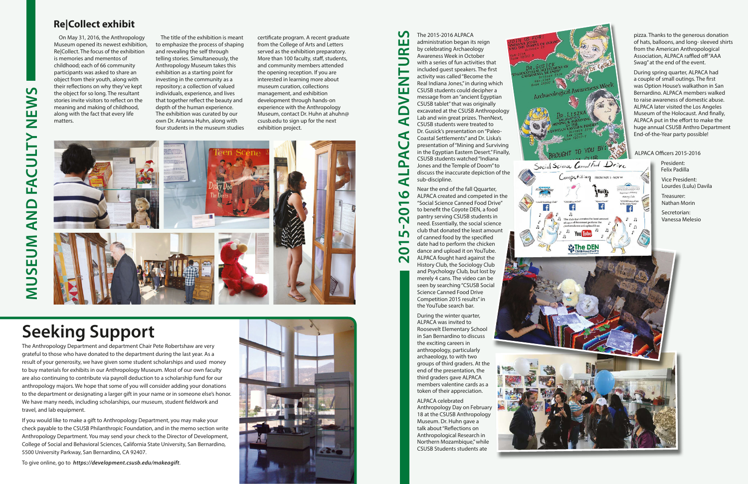Near the end of the fall Qquarter, ALPACA created and competed in the "Social Science Canned Food Drive" to benefit the Coyote DEN, a food pantry serving CSUSB students in need. Essentially, the social science club that donated the least amount of canned food by the specified date had to perform the chicken dance and upload it on YouTube. ALPACA fought hard against the History Club, the Sociology Club and Psychology Club, but lost by merely 4 cans. The video can be seen by searching "CSUSB Social Science Canned Food Drive Competition 2015 results" in the YouTube search bar.

During the winter quarter, ALPACA was invited to Roosevelt Elementary School in San Bernardino to discuss the exciting careers in anthropology, particularly archaeology, to with two groups of third graders. At the end of the presentation, the third graders gave ALPACA members valentine cards as a token of their appreciation.

**2015-2016 ALPACA ADVENTURES**  $\mathbf{v}$ The 2015-2016 ALPACA ш administration began its reign by celebrating Archaeology  $\alpha$ Awareness Week in October with a series of fun activities that included guest speakers. The first activity was called "Become the Real Indiana Jones," in during which CSUSB students could decipher a Ш message from an "ancient Egyptian CSUSB tablet" that was originally excavated at the CSUSB Anthropology Lab and win great prizes. ThenNext, ď CSUSB students were treated to Dr. Gusick's presentation on "Paleo-Coastal Settlements" and Dr. Liska's presentation of "Mining and Surviving in the Egyptian Eastern Desert." Finally, CSUSB students watched "Indiana Jones and the Temple of Doom" to discuss the inaccurate depiction of the sub-discipline.

 $\Box$ 

ď

p.

ď

**10** 

 $\overline{\phantom{0}}$  $\bullet$  $\overline{\mathbf{N}}$ 

LŊ

 $\mathbf \Omega$  $\overline{\mathbf{N}}$ 

> ALPACA celebrated Anthropology Day on February 18 at the CSUSB Anthropology Museum. Dr. Huhn gave a talk about "Reflections on Anthropological Research in Northern Mozambique," while CSUSB Students students ate



Social Science Cannol Food Drive

ompetition FROMNOV1-NOV

pizza. Thanks to the generous donation of hats, balloons, and long- sleeved shirts from the American Anthropological Association, ALPACA raffled off "AAA Swag" at the end of the event.

During spring quarter, ALPACA had a couple of small outings. The first was Option House's walkathon in San Bernardino. ALPACA members walked to raise awareness of domestic abuse. ALPACA later visited the Los Angeles Museum of the Holocaust. And finally, ALPACA put in the effort to make the huge annual CSUSB Anthro Department End-of-the-Year party possible!

## ALPACA Officers 2015-2016

President: Felix Padilla

Vice President: Lourdes (Lulu) Davila

Treasurer: Nathan Morin

Secretorian: Vanessa Melesio

On May 31, 2016, the Anthropology Museum opened its newest exhibition, Re|Collect. The focus of the exhibition is memories and mementos of childhood; each of 66 community participants was asked to share an object from their youth, along with their reflections on why they've kept the object for so long. The resultant stories invite visitors to reflect on the meaning and making of childhood, along with the fact that every life matters.

The title of the exhibition is meant to emphasize the process of shaping and revealing the self through telling stories. Simultaneously, the Anthropology Museum takes this exhibition as a starting point for investing in the community as a repository; a collection of valued individuals, experience, and lives that together reflect the beauty and depth of the human experience. The exhibition was curated by our own Dr. Arianna Huhn, along with four students in the museum studies certificate program. A recent graduate from the College of Arts and Letters served as the exhibition preparatory. More than 100 faculty, staff, students, and community members attended the opening reception. If you are interested in learning more about museum curation, collections management, and exhibition development through hands-on experience with the Anthropology Museum, contact Dr. Huhn at ahuhn@ csusb.edu to sign up for the next exhibition project.



**MUSEUM AND FACULTY NEWS**

D<br>N<br>A<br>K

MUSEUM

FACULTY

 $\overline{u}$ 

**SAME** 

## **Re|Collect exhibit**

# **Seeking Support**

The Anthropology Department and department Chair Pete Robertshaw are very grateful to those who have donated to the department during the last year. As a result of your generosity, we have given some student scholarships and used money to buy materials for exhibits in our Anthropology Museum. Most of our own faculty are also continuing to contribute via payroll deduction to a scholarship fund for our anthropology majors. We hope that some of you will consider adding your donations to the department or designating a larger gift in your name or in someone else's honor. We have many needs, including scholarships, our museum, student fieldwork and travel, and lab equipment.

If you would like to make a gift to Anthropology Department, you may make your check payable to the CSUSB Philanthropic Foundation, and in the memo section write Anthropology Department. You may send your check to the Director of Development, College of Social and Behavioral Sciences, California State University, San Bernardino, 5500 University Parkway, San Bernardino, CA 92407.

To give online, go to *https://development.csusb.edu/makeagift* .

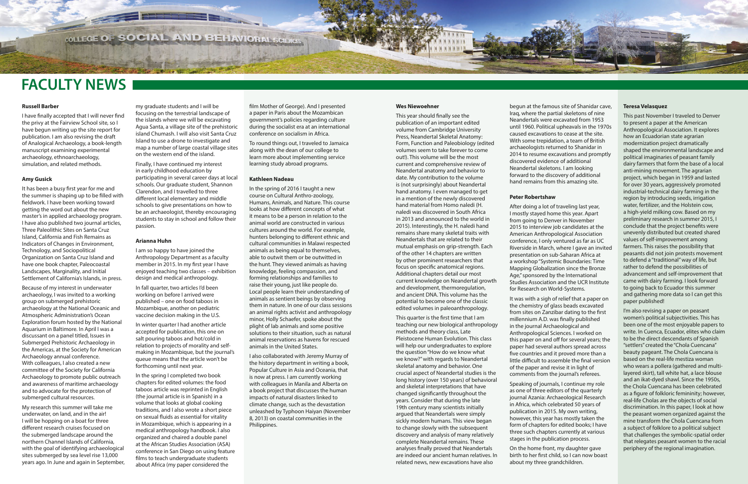### **Wes Niewoehner**

This year should finally see the publication of an important edited volume from Cambridge University Press, Neandertal Skeletal Anatomy: Form, Function and Paleobiology (edited volumes seem to take forever to come out!). This volume will be the most current and comprehensive review of Neandertal anatomy and behavior to date. My contribution to the volume is (not surprisingly) about Neandertal hand anatomy. I even managed to get in a mention of the newly discovered hand material from Homo naledi (H. naledi was discovered in South Africa in 2013 and announced to the world in 2015). Interestingly, the H. naledi hand remains share many skeletal traits with Neandertals that are related to their mutual emphasis on grip-strength. Each of the other 14 chapters are written by other prominent researchers that focus on specific anatomical regions. Additional chapters detail our most current knowledge on Neandertal growth and development, thermoregulation, and ancient DNA. This volume has the potential to become one of the classic edited volumes in paleoanthropology.

This quarter is the first time that I am teaching our new biological anthropology methods and theory class, Late Pleistocene Human Evolution. This class will help our undergraduates to explore the question "How do we know what we know?" with regards to Neandertal skeletal anatomy and behavior. One crucial aspect of Neandertal studies is the long history (over 150 years) of behavioral and skeletal interpretations that have changed significantly throughout the years. Consider that during the late 19th century many scientists initially argued that Neandertals were simply sickly modern humans. This view began to change slowly with the subsequent discovery and analysis of many relatively complete Neandertal remains. These analyses finally proved that Neandertals are indeed our ancient human relatives. In related news, new excavations have also

begun at the famous site of Shanidar cave, Iraq, where the partial skeletons of nine Neandertals were excavated from 1953 until 1960. Political upheavals in the 1970s caused excavations to cease at the site. With some trepidation, a team of British archaeologists returned to Shanidar in 2014 to resume excavations and promptly discovered evidence of additional Neandertal skeletons. I am looking forward to the discovery of additional hand remains from this amazing site.

### **Peter Robertshaw**

After doing a lot of traveling last year, I mostly stayed home this year. Apart from going to Denver in November 2015 to interview job candidates at the American Anthropological Association conference, I only ventured as far as UC Riverside in March, where I gave an invited presentation on sub-Saharan Africa at a workshop "Systemic Boundaries: Time Mapping Globalization since the Bronze Age," sponsored by the International Studies Association and the UCR Institute for Research on World-Systems.

It was with a sigh of relief that a paper on the chemistry of glass beads excavated from sites on Zanzibar dating to the first millennium A.D. was finally published in the journal Archaeological and Anthropological Sciences. I worked on this paper on and off for several years; the paper had several authors spread across five countries and it proved more than a little difficult to assemble the final version of the paper and revise it in light of comments from the journal's referees.

Speaking of journals, I continue my role as one of three editors of the quarterly journal Azania: Archaeological Research in Africa, which celebrated 50 years of publication in 2015. My own writing, however, this year has mostly taken the form of chapters for edited books; I have three such chapters currently at various stages in the publication process.

On the home front, my daughter gave birth to her first child, so I can now boast about my three grandchildren.



### **Teresa Velasquez**

This past November I traveled to Denver to present a paper at the American Anthropological Association. It explores how an Ecuadorian state agrarian modernization project dramatically shaped the environmental landscape and political imaginaries of peasant family dairy farmers that form the base of a local anti-mining movement. The agrarian project, which began in 1959 and lasted for over 30 years, aggressively promoted industrial-technical dairy farming in the region by introducing seeds, irrigation water, fertilizer, and the Holstein cow, a high-yield milking cow. Based on my preliminary research in summer 2015, I conclude that the project benefits were unevenly distributed but created shared values of self-improvement among farmers. This raises the possibility that peasants did not join protests movement to defend a "traditional" way of life, but rather to defend the possibilities of advancement and self-improvement that came with dairy farming. I look forward to going back to Ecuador this summer and gathering more data so I can get this paper published!

I'm also revising a paper on peasant women's political subjectivities. This has been one of the most enjoyable papers to write. In Cuenca, Ecuador, elites who claim to be the direct descendants of Spanish "settlers" created the "Chola Cuencana" beauty pageant. The Chola Cuencana is based on the real-life mestiza woman who wears a pollera (gathered and multilayered skirt), tall white hat, a lace blouse and an ikat-dyed shawl. Since the 1950s, the Chola Cuencana has been celebrated as a figure of folkloric femininity; however, real-life Cholas are the objects of social discrimination. In this paper, I look at how the peasant women organized against the mine transform the Chola Cuencana from a subject of folklore to a political subject that challenges the symbolic-spatial order that relegates peasant women to the racial periphery of the regional imagination.

### **Russell Barber**

I have finally accepted that I will never find the privy at the Fairview School site, so I have begun writing up the site report for publication. I am also revising the draft of Analogical Archaeology, a book-length manuscript examining experimental archaeology, ethnoarchaeology, simulation, and related methods.

### **Amy Gusick**

It has been a busy first year for me and the summer is shaping up to be filled with fieldwork. I have been working toward getting the word out about the new master's in applied archaeology program. I have also published two journal articles, Three Paleolithic Sites on Santa Cruz Island, California and Fish Remains as Indicators of Changes in Environment, Technology, and Sociopolitical Organization on Santa Cruz Island and have one book chapter, Paleocoastal Landscapes, Marginality, and Initial Settlement of California's Islands, in press.

Because of my interest in underwater archaeology, I was invited to a working group on submerged prehistoric archaeology at the National Oceanic and Atmospheric Administration's Ocean Exploration forum hosted by the National Aquarium in Baltimore. In April I was a discussant on a panel titled, Issues in Submerged Prehistoric Archaeology in the Americas, at the Society for American Archaeology annual conference. With colleagues, I also created a new committee of the Society for California Archaeology to promote public outreach and awareness of maritime archaeology and to advocate for the protection of submerged cultural resources.

My research this summer will take me underwater, on land, and in the air! I will be hopping on a boat for three different research cruises focused on the submerged landscape around the northern Channel Islands of California, with the goal of identifying archaeological sites submerged by sea level rise 13,000 years ago. In June and again in September,

my graduate students and I will be focusing on the terrestrial landscape of the islands where we will be excavating Agua Santa, a village site of the prehistoric island Chumash. I will also visit Santa Cruz Island to use a drone to investigate and map a number of large coastal village sites on the western end of the island.

Finally, I have continued my interest in early childhood education by participating in several career days at local schools. Our graduate student, Shannon Clarendon, and I travelled to three different local elementary and middle schools to give presentations on how to be an archaeologist, thereby encouraging students to stay in school and follow their passion.

### **Arianna Huhn**

I am so happy to have joined the Anthropology Department as a faculty member in 2015. In my first year I have enjoyed teaching two classes – exhibition design and medical anthropology.

In fall quarter, two articles I'd been working on before I arrived were published – one on food taboos in Mozambique, another on pediatric vaccine decision making in the U.S.

In winter quarter I had another article accepted for publication, this one on salt pouring taboos and hot/cold in relation to projects of morality and selfmaking in Mozambique, but the journal's queue means that the article won't be forthcoming until next year.

In the spring I completed two book chapters for edited volumes: the food taboos article was reprinted in English (the journal article is in Spanish) in a volume that looks at global cooking traditions, and I also wrote a short piece on sexual fluids as essential for vitality in Mozambique, which is appearing in a medical anthropology handbook. I also organized and chaired a double panel at the African Studies Association (ASA) conference in San Diego on using feature films to teach undergraduate students about Africa (my paper considered the

film Mother of George). And I presented a paper in Paris about the Mozambican government's policies regarding culture during the socialist era at an international conference on socialism in Africa.

To round things out, I traveled to Jamaica along with the dean of our college to learn more about implementing service learning study abroad programs.

### **Kathleen Nadeau**

In the spring of 2016 I taught a new course on Cultural Anthro-zoology, Humans, Animals, and Nature. This course looks at how different concepts of what it means to be a person in relation to the animal world are constructed in various cultures around the world. For example, hunters belonging to different ethnic and cultural communities in Malawi respected animals as being equal to themselves, able to outwit them or be outwitted in the hunt. They viewed animals as having knowledge, feeling compassion, and forming relationships and families to raise their young, just like people do. Local people learn their understanding of animals as sentient beings by observing them in nature. In one of our class sessions an animal rights activist and anthropology minor, Holly Schaefer, spoke about the plight of lab animals and some positive solutions to their situation, such as natural animal reservations as havens for rescued animals in the United States.

I also collaborated with Jeremy Murray of the history department in writing a book, Popular Culture in Asia and Oceania, that is now at press. I am currently working with colleagues in Manila and Alberta on a book project that discusses the human impacts of natural disasters linked to climate change, such as the devastation unleashed by Typhoon Haiyan (November 8, 2013) on coastal communities in the Philippines.

**COLLEGE OF SOCIAL AND BEHAVIORAL SCIENCES** 

## **FACULTY NEWS**